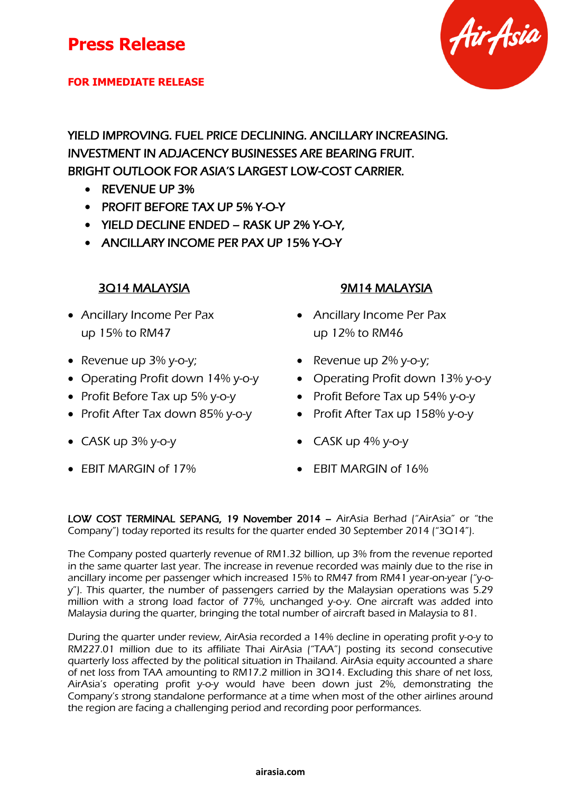### **FOR IMMEDIATE RELEASE**

YIELD IMPROVING. FUEL PRICE DECLINING. ANCILLARY INCREASING. INVESTMENT IN ADJACENCY BUSINESSES ARE BEARING FRUIT. BRIGHT OUTLOOK FOR ASIA'S LARGEST LOW-COST CARRIER.

- REVENUE UP 3%
- PROFIT BEFORE TAX UP 5% Y-O-Y
- YIELD DECLINE ENDED RASK UP 2% Y-O-Y,
- ANCILLARY INCOME PER PAX UP 15% Y-O-Y

- Ancillary Income Per Pax up 15% to RM47
- Revenue up 3% y-o-y;
- Operating Profit down 14% y-o-y
- Profit Before Tax up 5% y-o-y
- Profit After Tax down 85% y-o-y Profit After Tax up 158% y-o-y
- 
- 

### 3Q14 MALAYSIA 9M14 MALAYSIA

- Ancillary Income Per Pax up 12% to RM46
- Revenue up  $2\%$  y-o-y;
- Operating Profit down  $13\%$  y-o-y
- Profit Before Tax up  $54\%$  y-o-y
	-
- $\bullet$  CASK up 3% y-o-y  $\bullet$  CASK up 4% y-o-y
- EBIT MARGIN of 17%  **EBIT MARGIN of 16%**

LOW COST TERMINAL SEPANG, 19 November 2014 – AirAsia Berhad ("AirAsia" or "the Company") today reported its results for the quarter ended 30 September 2014 ("3Q14").

The Company posted quarterly revenue of RM1.32 billion, up 3% from the revenue reported in the same quarter last year. The increase in revenue recorded was mainly due to the rise in ancillary income per passenger which increased 15% to RM47 from RM41 year-on-year ("y-oy"). This quarter, the number of passengers carried by the Malaysian operations was 5.29 million with a strong load factor of 77%, unchanged y-o-y. One aircraft was added into Malaysia during the quarter, bringing the total number of aircraft based in Malaysia to 81.

During the quarter under review, AirAsia recorded a 14% decline in operating profit y-o-y to RM227.01 million due to its affiliate Thai AirAsia ("TAA") posting its second consecutive quarterly loss affected by the political situation in Thailand. AirAsia equity accounted a share of net loss from TAA amounting to RM17.2 million in 3Q14. Excluding this share of net loss, AirAsia's operating profit y-o-y would have been down just 2%, demonstrating the Company's strong standalone performance at a time when most of the other airlines around the region are facing a challenging period and recording poor performances.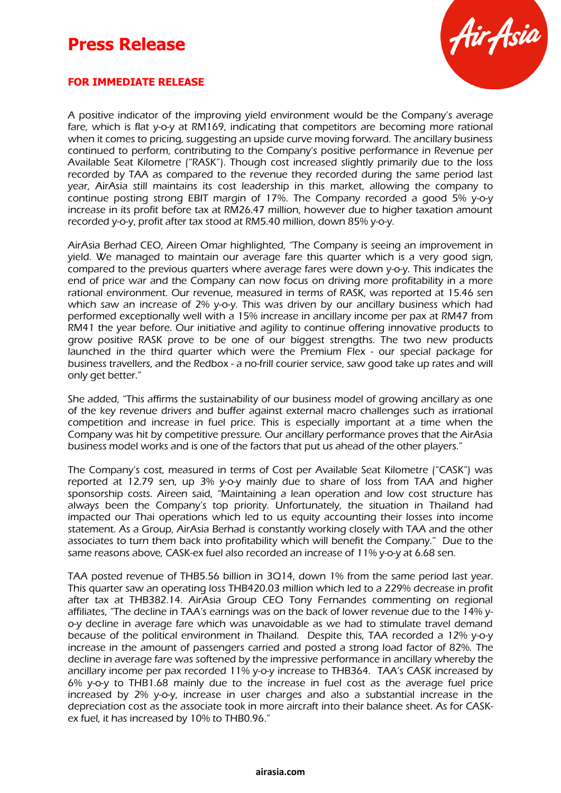# **Press Release**



### **FOR IMMEDIATE RELEASE**

A positive indicator of the improving yield environment would be the Company's average fare, which is flat y-o-y at RM169, indicating that competitors are becoming more rational when it comes to pricing, suggesting an upside curve moving forward. The ancillary business continued to perform, contributing to the Company's positive performance in Revenue per Available Seat Kilometre ("RASK"). Though cost increased slightly primarily due to the loss recorded by TAA as compared to the revenue they recorded during the same period last year, AirAsia still maintains its cost leadership in this market, allowing the company to continue posting strong EBIT margin of 17%. The Company recorded a good 5% y-o-y increase in its profit before tax at RM26.47 million, however due to higher taxation amount recorded y-o-y, profit after tax stood at RM5.40 million, down 85% y-o-y.

AirAsia Berhad CEO, Aireen Omar highlighted, "The Company is seeing an improvement in yield. We managed to maintain our average fare this quarter which is a very good sign, compared to the previous quarters where average fares were down y-o-y. This indicates the end of price war and the Company can now focus on driving more profitability in a more rational environment. Our revenue, measured in terms of RASK, was reported at 15.46 sen which saw an increase of 2% y-o-y. This was driven by our ancillary business which had performed exceptionally well with a 15% increase in ancillary income per pax at RM47 from RM41 the year before. Our initiative and agility to continue offering innovative products to grow positive RASK prove to be one of our biggest strengths. The two new products launched in the third quarter which were the Premium Flex - our special package for business travellers, and the Redbox - a no-frill courier service, saw good take up rates and will only get better."

She added, "This affirms the sustainability of our business model of growing ancillary as one of the key revenue drivers and buffer against external macro challenges such as irrational competition and increase in fuel price. This is especially important at a time when the Company was hit by competitive pressure. Our ancillary performance proves that the AirAsia business model works and is one of the factors that put us ahead of the other players."

The Company's cost, measured in terms of Cost per Available Seat Kilometre ("CASK") was reported at 12.79 sen, up 3% y-o-y mainly due to share of loss from TAA and higher sponsorship costs. Aireen said, "Maintaining a lean operation and low cost structure has always been the Company's top priority. Unfortunately, the situation in Thailand had impacted our Thai operations which led to us equity accounting their losses into income statement. As a Group, AirAsia Berhad is constantly working closely with TAA and the other associates to turn them back into profitability which will benefit the Company." Due to the same reasons above, CASK-ex fuel also recorded an increase of 11% y-o-y at 6.68 sen.

TAA posted revenue of THB5.56 billion in 3Q14, down 1% from the same period last year. This quarter saw an operating loss THB420.03 million which led to a 229% decrease in profit after tax at THB382.14. AirAsia Group CEO Tony Fernandes commenting on regional affiliates, "The decline in TAA's earnings was on the back of lower revenue due to the 14% yo-y decline in average fare which was unavoidable as we had to stimulate travel demand because of the political environment in Thailand. Despite this, TAA recorded a 12% y-o-y increase in the amount of passengers carried and posted a strong load factor of 82%. The decline in average fare was softened by the impressive performance in ancillary whereby the ancillary income per pax recorded 11% y-o-y increase to THB364. TAA's CASK increased by 6% y-o-y to THB1.68 mainly due to the increase in fuel cost as the average fuel price increased by 2% y-o-y, increase in user charges and also a substantial increase in the depreciation cost as the associate took in more aircraft into their balance sheet. As for CASKex fuel, it has increased by 10% to THB0.96."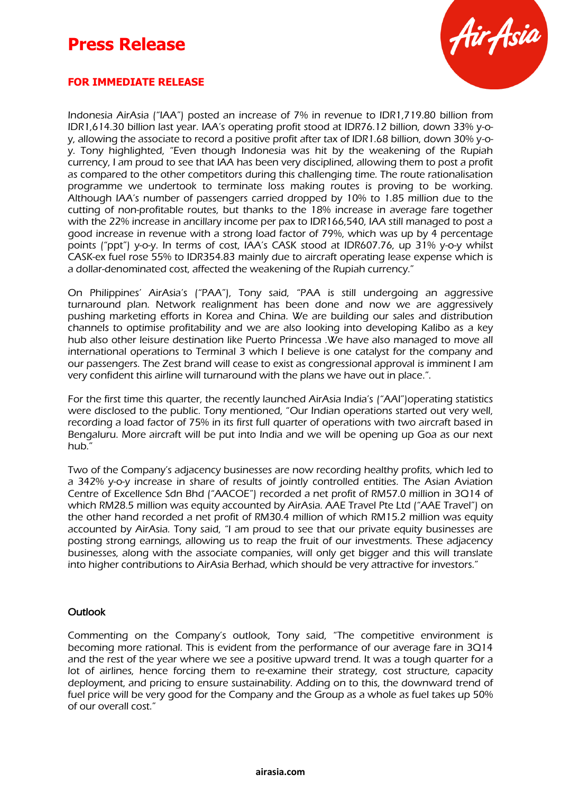# **Press Release**



### **FOR IMMEDIATE RELEASE**

Indonesia AirAsia ("IAA") posted an increase of 7% in revenue to IDR1,719.80 billion from IDR1,614.30 billion last year. IAA's operating profit stood at IDR76.12 billion, down 33% y-oy, allowing the associate to record a positive profit after tax of IDR1.68 billion, down 30% y-oy. Tony highlighted, "Even though Indonesia was hit by the weakening of the Rupiah currency, I am proud to see that IAA has been very disciplined, allowing them to post a profit as compared to the other competitors during this challenging time. The route rationalisation programme we undertook to terminate loss making routes is proving to be working. Although IAA's number of passengers carried dropped by 10% to 1.85 million due to the cutting of non-profitable routes, but thanks to the 18% increase in average fare together with the 22% increase in ancillary income per pax to IDR166,540, IAA still managed to post a good increase in revenue with a strong load factor of 79%, which was up by 4 percentage points ("ppt") y-o-y. In terms of cost, IAA's CASK stood at IDR607.76, up 31% y-o-y whilst CASK-ex fuel rose 55% to IDR354.83 mainly due to aircraft operating lease expense which is a dollar-denominated cost, affected the weakening of the Rupiah currency."

On Philippines' AirAsia's ("PAA"), Tony said, "PAA is still undergoing an aggressive turnaround plan. Network realignment has been done and now we are aggressively pushing marketing efforts in Korea and China. We are building our sales and distribution channels to optimise profitability and we are also looking into developing Kalibo as a key hub also other leisure destination like Puerto Princessa .We have also managed to move all international operations to Terminal 3 which I believe is one catalyst for the company and our passengers. The Zest brand will cease to exist as congressional approval is imminent I am very confident this airline will turnaround with the plans we have out in place.".

For the first time this quarter, the recently launched AirAsia India's ("AAI")operating statistics were disclosed to the public. Tony mentioned, "Our Indian operations started out very well, recording a load factor of 75% in its first full quarter of operations with two aircraft based in Bengaluru. More aircraft will be put into India and we will be opening up Goa as our next hub."

Two of the Company's adjacency businesses are now recording healthy profits, which led to a 342% y-o-y increase in share of results of jointly controlled entities. The Asian Aviation Centre of Excellence Sdn Bhd ("AACOE") recorded a net profit of RM57.0 million in 3Q14 of which RM28.5 million was equity accounted by AirAsia. AAE Travel Pte Ltd ("AAE Travel") on the other hand recorded a net profit of RM30.4 million of which RM15.2 million was equity accounted by AirAsia. Tony said, "I am proud to see that our private equity businesses are posting strong earnings, allowing us to reap the fruit of our investments. These adjacency businesses, along with the associate companies, will only get bigger and this will translate into higher contributions to AirAsia Berhad, which should be very attractive for investors."

### **Outlook**

Commenting on the Company's outlook, Tony said, "The competitive environment is becoming more rational. This is evident from the performance of our average fare in 3Q14 and the rest of the year where we see a positive upward trend. It was a tough quarter for a lot of airlines, hence forcing them to re-examine their strategy, cost structure, capacity deployment, and pricing to ensure sustainability. Adding on to this, the downward trend of fuel price will be very good for the Company and the Group as a whole as fuel takes up 50% of our overall cost."